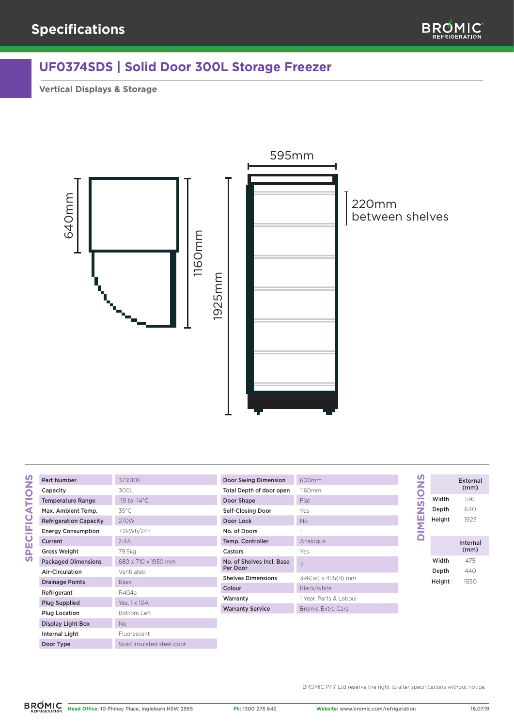## **UF0374SDS | Solid Door 300L Storage Freezer**

**Vertical Displays & Storage**



| ī | 1<br>I |
|---|--------|
|   |        |
|   |        |
|   |        |
|   |        |
|   | ١      |

| <b>Part Number</b>            | 3735106                  |
|-------------------------------|--------------------------|
| Capacity                      | 3001                     |
| <b>Temperature Range</b>      | $-19$ to $-14^{\circ}$ C |
| Max. Ambient Temp.            | $35^{\circ}$ C           |
| <b>Refrigeration Capacity</b> | 270W                     |
| <b>Energy Consumption</b>     | 7.2kWh/24h               |
| Current                       | 2.4A                     |
| <b>Gross Weight</b>           | 79.5kg                   |
| <b>Packaged Dimensions</b>    | 680 x 710 x 1950 mm      |
| Air-Circulation               | Ventilated               |
| <b>Drainage Points</b>        | <b>Base</b>              |
| Refrigerant                   | R404a                    |
| <b>Plug Supplied</b>          | Yes, 1 x 10 A            |
| <b>Plug Location</b>          | Bottom Left              |
| Display Light Box             | No                       |
| Internal Light                | Fluorescent              |

Door Type Solid insulated steel door

| 600mm                  |
|------------------------|
| 1160mm                 |
| Flat                   |
| Yes                    |
| No                     |
| 1                      |
| Analogue               |
| Yes                    |
| 7                      |
| 396(w) x 455(d) mm     |
| Black/white            |
| 1 Year. Parts & Labour |
| Bromic Extra Care      |
|                        |

| $500$ mm                 |
|--------------------------|
| 160mm                    |
| Flat                     |
| ⁄es                      |
| ٧o                       |
|                          |
| Analogue                 |
| ⁄es                      |
| 7                        |
| 396(w) x 455(d) mm       |
| Black/white              |
| Year, Parts & Labour     |
| <b>Bromic Extra Care</b> |

| 2 |        | External         |
|---|--------|------------------|
|   |        | (mm)             |
| ŋ | Width  | 595              |
| Z | Depth  | 640              |
| п | Height | 1925             |
|   |        |                  |
|   |        | Internal<br>(mm) |
|   | Width  | 475              |
|   | Depth  | 440              |
|   | Height | 1550             |

BROMIC PTY Ltd reserve the right to alter specifications without notice.